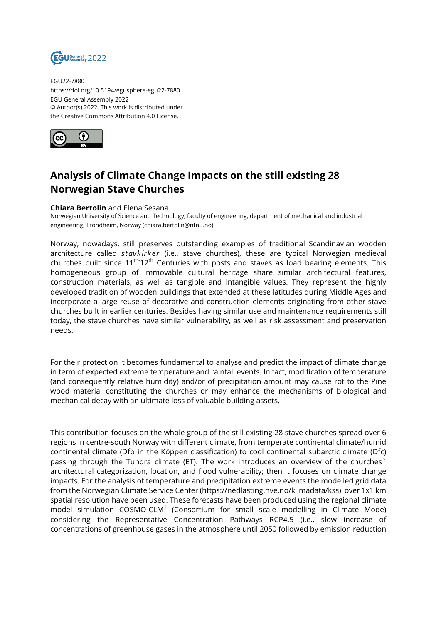

EGU22-7880 https://doi.org/10.5194/egusphere-egu22-7880 EGU General Assembly 2022 © Author(s) 2022. This work is distributed under the Creative Commons Attribution 4.0 License.



## **Analysis of Climate Change Impacts on the still existing 28 Norwegian Stave Churches**

## **Chiara Bertolin** and Elena Sesana

Norwegian University of Science and Technology, faculty of engineering, department of mechanical and industrial engineering, Trondheim, Norway (chiara.bertolin@ntnu.no)

Norway, nowadays, still preserves outstanding examples of traditional Scandinavian wooden architecture called *stavkirker* (i.e., stave churches), these are typical Norwegian medieval churches built since  $11<sup>th-12<sup>th</sup></sup>$  Centuries with posts and staves as load bearing elements. This homogeneous group of immovable cultural heritage share similar architectural features, construction materials, as well as tangible and intangible values. They represent the highly developed tradition of wooden buildings that extended at these latitudes during Middle Ages and incorporate a large reuse of decorative and construction elements originating from other stave churches built in earlier centuries. Besides having similar use and maintenance requirements still today, the stave churches have similar vulnerability, as well as risk assessment and preservation needs.

For their protection it becomes fundamental to analyse and predict the impact of climate change in term of expected extreme temperature and rainfall events. In fact, modification of temperature (and consequently relative humidity) and/or of precipitation amount may cause rot to the Pine wood material constituting the churches or may enhance the mechanisms of biological and mechanical decay with an ultimate loss of valuable building assets.

This contribution focuses on the whole group of the still existing 28 stave churches spread over 6 regions in centre-south Norway with different climate, from temperate continental climate/humid continental climate (Dfb in the Köppen classification) to cool continental subarctic climate (Dfc) passing through the Tundra climate (ET). The work introduces an overview of the churches` architectural categorization, location, and flood vulnerability; then it focuses on climate change impacts. For the analysis of temperature and precipitation extreme events the modelled grid data from the Norwegian Climate Service Center (https://nedlasting.nve.no/klimadata/kss) over 1x1 km spatial resolution have been used. These forecasts have been produced using the regional climate model simulation COSMO-CLM<sup>1</sup> (Consortium for small scale modelling in Climate Mode) considering the Representative Concentration Pathways RCP4.5 (i.e., slow increase of concentrations of greenhouse gases in the atmosphere until 2050 followed by emission reduction